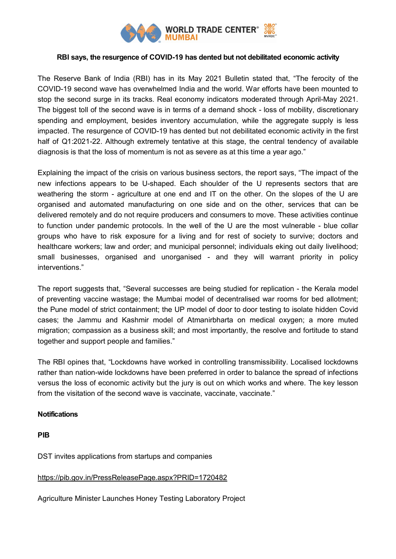

## **RBI says, the resurgence of COVID-19 has dented but not debilitated economic activity**

The Reserve Bank of India (RBI) has in its May 2021 Bulletin stated that, "The ferocity of the COVID-19 second wave has overwhelmed India and the world. War efforts have been mounted to stop the second surge in its tracks. Real economy indicators moderated through April-May 2021. The biggest toll of the second wave is in terms of a demand shock - loss of mobility, discretionary spending and employment, besides inventory accumulation, while the aggregate supply is less impacted. The resurgence of COVID-19 has dented but not debilitated economic activity in the first half of Q1:2021-22. Although extremely tentative at this stage, the central tendency of available diagnosis is that the loss of momentum is not as severe as at this time a year ago."

Explaining the impact of the crisis on various business sectors, the report says, "The impact of the new infections appears to be U-shaped. Each shoulder of the U represents sectors that are weathering the storm - agriculture at one end and IT on the other. On the slopes of the U are organised and automated manufacturing on one side and on the other, services that can be delivered remotely and do not require producers and consumers to move. These activities continue to function under pandemic protocols. In the well of the U are the most vulnerable - blue collar groups who have to risk exposure for a living and for rest of society to survive; doctors and healthcare workers; law and order; and municipal personnel; individuals eking out daily livelihood; small businesses, organised and unorganised - and they will warrant priority in policy interventions."

The report suggests that, "Several successes are being studied for replication - the Kerala model of preventing vaccine wastage; the Mumbai model of decentralised war rooms for bed allotment; the Pune model of strict containment; the UP model of door to door testing to isolate hidden Covid cases; the Jammu and Kashmir model of Atmanirbharta on medical oxygen; a more muted migration; compassion as a business skill; and most importantly, the resolve and fortitude to stand together and support people and families."

The RBI opines that, "Lockdowns have worked in controlling transmissibility. Localised lockdowns rather than nation-wide lockdowns have been preferred in order to balance the spread of infections versus the loss of economic activity but the jury is out on which works and where. The key lesson from the visitation of the second wave is vaccinate, vaccinate, vaccinate."

## **Notifications**

**PIB**

DST invites applications from startups and companies

## <https://pib.gov.in/PressReleasePage.aspx?PRID=1720482>

Agriculture Minister Launches Honey Testing Laboratory Project